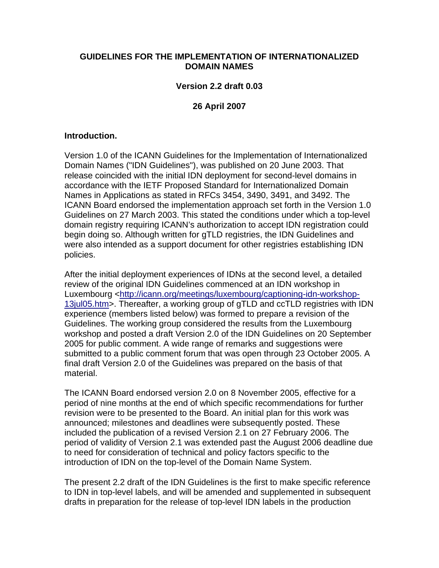### **GUIDELINES FOR THE IMPLEMENTATION OF INTERNATIONALIZED DOMAIN NAMES**

#### **Version 2.2 draft 0.03**

#### **26 April 2007**

#### **Introduction.**

Version 1.0 of the ICANN Guidelines for the Implementation of Internationalized Domain Names ("IDN Guidelines"), was published on 20 June 2003. That release coincided with the initial IDN deployment for second-level domains in accordance with the IETF Proposed Standard for Internationalized Domain Names in Applications as stated in RFCs 3454, 3490, 3491, and 3492. The ICANN Board endorsed the implementation approach set forth in the Version 1.0 Guidelines on 27 March 2003. This stated the conditions under which a top-level domain registry requiring ICANN's authorization to accept IDN registration could begin doing so. Although written for gTLD registries, the IDN Guidelines and were also intended as a support document for other registries establishing IDN policies.

After the initial deployment experiences of IDNs at the second level, a detailed review of the original IDN Guidelines commenced at an IDN workshop in Luxembourg <http://icann.org/meetings/luxembourg/captioning-idn-workshop-13jul05.htm>. Thereafter, a working group of gTLD and ccTLD registries with IDN experience (members listed below) was formed to prepare a revision of the Guidelines. The working group considered the results from the Luxembourg workshop and posted a draft Version 2.0 of the IDN Guidelines on 20 September 2005 for public comment. A wide range of remarks and suggestions were submitted to a public comment forum that was open through 23 October 2005. A final draft Version 2.0 of the Guidelines was prepared on the basis of that material.

The ICANN Board endorsed version 2.0 on 8 November 2005, effective for a period of nine months at the end of which specific recommendations for further revision were to be presented to the Board. An initial plan for this work was announced; milestones and deadlines were subsequently posted. These included the publication of a revised Version 2.1 on 27 February 2006. The period of validity of Version 2.1 was extended past the August 2006 deadline due to need for consideration of technical and policy factors specific to the introduction of IDN on the top-level of the Domain Name System.

The present 2.2 draft of the IDN Guidelines is the first to make specific reference to IDN in top-level labels, and will be amended and supplemented in subsequent drafts in preparation for the release of top-level IDN labels in the production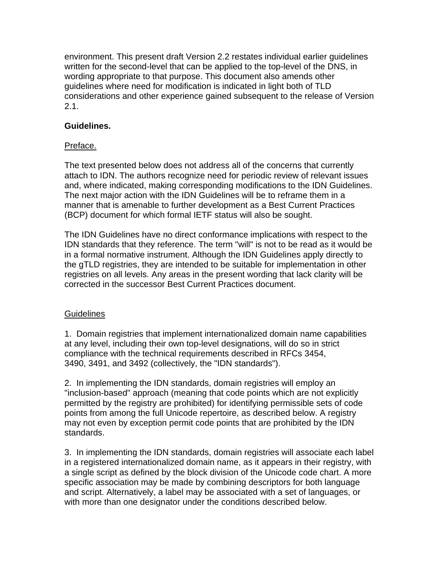environment. This present draft Version 2.2 restates individual earlier guidelines written for the second-level that can be applied to the top-level of the DNS, in wording appropriate to that purpose. This document also amends other guidelines where need for modification is indicated in light both of TLD considerations and other experience gained subsequent to the release of Version 2.1.

## **Guidelines.**

# Preface.

The text presented below does not address all of the concerns that currently attach to IDN. The authors recognize need for periodic review of relevant issues and, where indicated, making corresponding modifications to the IDN Guidelines. The next major action with the IDN Guidelines will be to reframe them in a manner that is amenable to further development as a Best Current Practices (BCP) document for which formal IETF status will also be sought.

The IDN Guidelines have no direct conformance implications with respect to the IDN standards that they reference. The term "will" is not to be read as it would be in a formal normative instrument. Although the IDN Guidelines apply directly to the gTLD registries, they are intended to be suitable for implementation in other registries on all levels. Any areas in the present wording that lack clarity will be corrected in the successor Best Current Practices document.

## **Guidelines**

1. Domain registries that implement internationalized domain name capabilities at any level, including their own top-level designations, will do so in strict compliance with the technical requirements described in RFCs 3454, 3490, 3491, and 3492 (collectively, the "IDN standards").

2. In implementing the IDN standards, domain registries will employ an "inclusion-based" approach (meaning that code points which are not explicitly permitted by the registry are prohibited) for identifying permissible sets of code points from among the full Unicode repertoire, as described below. A registry may not even by exception permit code points that are prohibited by the IDN standards.

3. In implementing the IDN standards, domain registries will associate each label in a registered internationalized domain name, as it appears in their registry, with a single script as defined by the block division of the Unicode code chart. A more specific association may be made by combining descriptors for both language and script. Alternatively, a label may be associated with a set of languages, or with more than one designator under the conditions described below.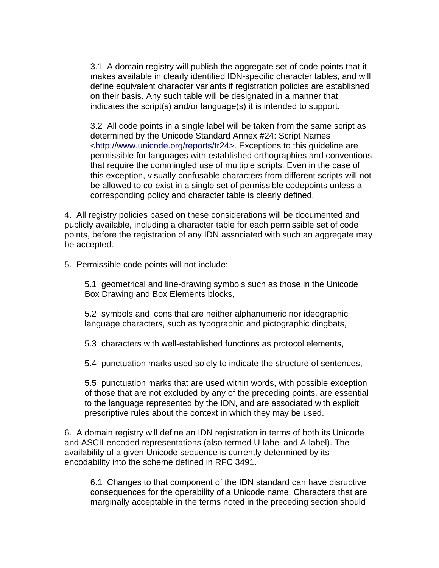3.1 A domain registry will publish the aggregate set of code points that it makes available in clearly identified IDN-specific character tables, and will define equivalent character variants if registration policies are established on their basis. Any such table will be designated in a manner that indicates the script(s) and/or language(s) it is intended to support.

3.2 All code points in a single label will be taken from the same script as determined by the Unicode Standard Annex #24: Script Names <http://www.unicode.org/reports/tr24>. Exceptions to this guideline are permissible for languages with established orthographies and conventions that require the commingled use of multiple scripts. Even in the case of this exception, visually confusable characters from different scripts will not be allowed to co-exist in a single set of permissible codepoints unless a corresponding policy and character table is clearly defined.

4. All registry policies based on these considerations will be documented and publicly available, including a character table for each permissible set of code points, before the registration of any IDN associated with such an aggregate may be accepted.

5. Permissible code points will not include:

5.1 geometrical and line-drawing symbols such as those in the Unicode Box Drawing and Box Elements blocks,

5.2 symbols and icons that are neither alphanumeric nor ideographic language characters, such as typographic and pictographic dingbats,

5.3 characters with well-established functions as protocol elements,

5.4 punctuation marks used solely to indicate the structure of sentences,

5.5 punctuation marks that are used within words, with possible exception of those that are not excluded by any of the preceding points, are essential to the language represented by the IDN, and are associated with explicit prescriptive rules about the context in which they may be used.

6. A domain registry will define an IDN registration in terms of both its Unicode and ASCII-encoded representations (also termed U-label and A-label). The availability of a given Unicode sequence is currently determined by its encodability into the scheme defined in RFC 3491.

6.1 Changes to that component of the IDN standard can have disruptive consequences for the operability of a Unicode name. Characters that are marginally acceptable in the terms noted in the preceding section should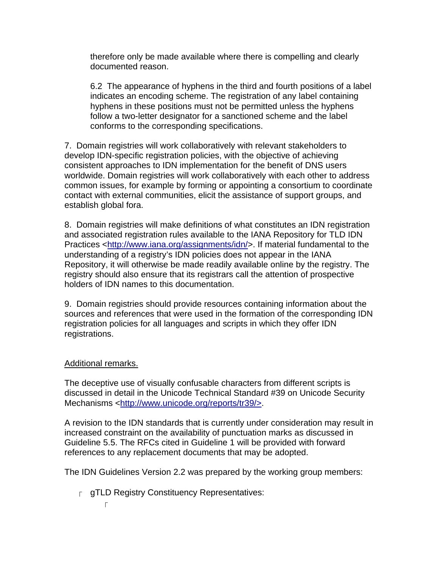therefore only be made available where there is compelling and clearly documented reason.

6.2 The appearance of hyphens in the third and fourth positions of a label indicates an encoding scheme. The registration of any label containing hyphens in these positions must not be permitted unless the hyphens follow a two-letter designator for a sanctioned scheme and the label conforms to the corresponding specifications.

7. Domain registries will work collaboratively with relevant stakeholders to develop IDN-specific registration policies, with the objective of achieving consistent approaches to IDN implementation for the benefit of DNS users worldwide. Domain registries will work collaboratively with each other to address common issues, for example by forming or appointing a consortium to coordinate contact with external communities, elicit the assistance of support groups, and establish global fora.

8. Domain registries will make definitions of what constitutes an IDN registration and associated registration rules available to the IANA Repository for TLD IDN Practices <http://www.iana.org/assignments/idn/>. If material fundamental to the understanding of a registry's IDN policies does not appear in the IANA Repository, it will otherwise be made readily available online by the registry. The registry should also ensure that its registrars call the attention of prospective holders of IDN names to this documentation.

9. Domain registries should provide resources containing information about the sources and references that were used in the formation of the corresponding IDN registration policies for all languages and scripts in which they offer IDN registrations.

## Additional remarks.

The deceptive use of visually confusable characters from different scripts is discussed in detail in the Unicode Technical Standard #39 on Unicode Security Mechanisms <http://www.unicode.org/reports/tr39/>.

A revision to the IDN standards that is currently under consideration may result in increased constraint on the availability of punctuation marks as discussed in Guideline 5.5. The RFCs cited in Guideline 1 will be provided with forward references to any replacement documents that may be adopted.

The IDN Guidelines Version 2.2 was prepared by the working group members:

 $\Gamma$  gTLD Registry Constituency Representatives:

 $\Gamma$